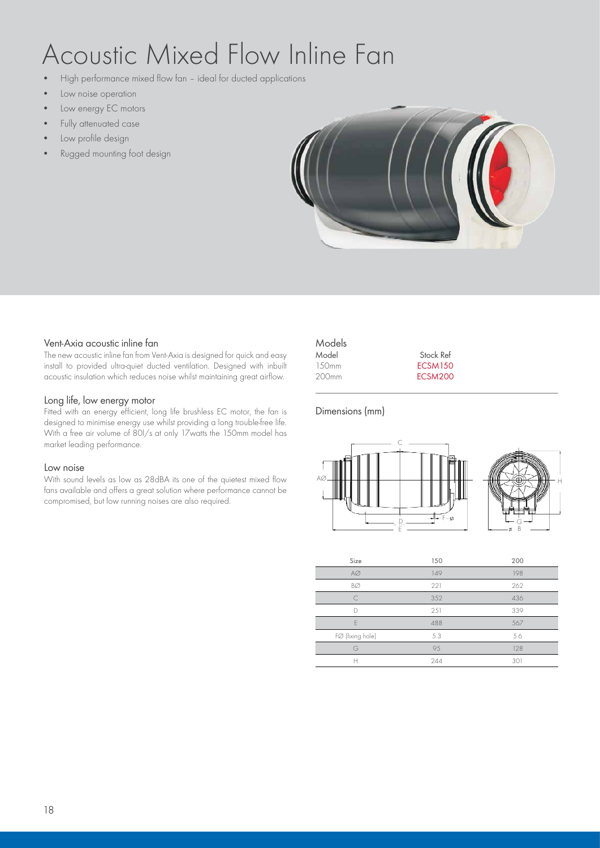# Acoustic Mixed Flow Inline Fan

- High performance mixed flow fan ideal for ducted applications
- Low noise operation
- Low energy EC motors
- Fully attenuated case
- Low profile design
- Rugged mounting foot design



#### Vent-Axia acoustic inline fan

The new acoustic inline fan from Vent-Axia is designed for quick and easy install to provided ultra-quiet ducted ventilation. Designed with inbuilt acoustic insulation which reduces noise whilst maintaining great airflow.

#### Long life, low energy motor

Fitted with an energy efficient, long life brushless EC motor, the fan is designed to minimise energy use whilst providing a long trouble-free life. With a free air volume of 80l/s at only 17watts the 150mm model has market leading performance.

#### Low noise

With sound levels as low as 28dBA its one of the quietest mixed flow fans available and offers a great solution where performance cannot be compromised, but low running noises are also required.

| Models            |                |  |
|-------------------|----------------|--|
| Model             | Stock Ref      |  |
| 150 <sub>mm</sub> | <b>ECSM150</b> |  |
| 200mm             | ECSM200        |  |
|                   |                |  |

### Dimensions (mm)



H

| Size             | 150 | 200 |
|------------------|-----|-----|
| $A\varnothing$   | 149 | 198 |
| BØ               | 221 | 262 |
| $\subset$        | 352 | 436 |
| D                | 251 | 339 |
| F                | 488 | 567 |
| FØ (fixing hole) | 5.3 | 5.6 |
| G                | 95  | 128 |
|                  | 244 | 301 |